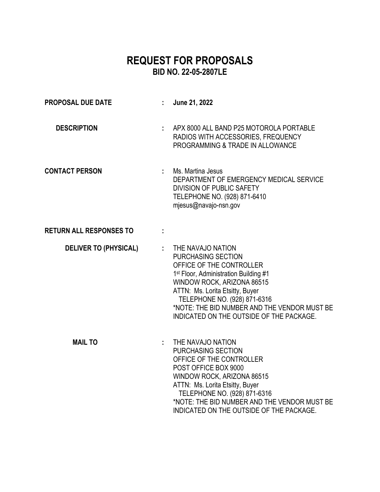# **REQUEST FOR PROPOSALS BID NO. 22-05-2807LE**

| <b>PROPOSAL DUE DATE</b>       | June 21, 2022                                                                                                                                                                                                                                                                                                                  |
|--------------------------------|--------------------------------------------------------------------------------------------------------------------------------------------------------------------------------------------------------------------------------------------------------------------------------------------------------------------------------|
| <b>DESCRIPTION</b>             | APX 8000 ALL BAND P25 MOTOROLA PORTABLE<br>RADIOS WITH ACCESSORIES, FREQUENCY<br>PROGRAMMING & TRADE IN ALLOWANCE                                                                                                                                                                                                              |
| <b>CONTACT PERSON</b>          | : Ms. Martina Jesus<br>DEPARTMENT OF EMERGENCY MEDICAL SERVICE<br><b>DIVISION OF PUBLIC SAFETY</b><br>TELEPHONE NO. (928) 871-6410<br>mjesus@navajo-nsn.gov                                                                                                                                                                    |
| <b>RETURN ALL RESPONSES TO</b> |                                                                                                                                                                                                                                                                                                                                |
| <b>DELIVER TO (PHYSICAL)</b>   | : THE NAVAJO NATION<br><b>PURCHASING SECTION</b><br>OFFICE OF THE CONTROLLER<br>1 <sup>st</sup> Floor, Administration Building #1<br>WINDOW ROCK, ARIZONA 86515<br>ATTN: Ms. Lorita Etsitty, Buyer<br>TELEPHONE NO. (928) 871-6316<br>*NOTE: THE BID NUMBER AND THE VENDOR MUST BE<br>INDICATED ON THE OUTSIDE OF THE PACKAGE. |
| <b>MAIL TO</b>                 | THE NAVAJO NATION<br><b>PURCHASING SECTION</b><br>OFFICE OF THE CONTROLLER<br>POST OFFICE BOX 9000<br>WINDOW ROCK, ARIZONA 86515<br>ATTN: Ms. Lorita Etsitty, Buyer<br>TELEPHONE NO. (928) 871-6316<br>*NOTE: THE BID NUMBER AND THE VENDOR MUST BE<br>INDICATED ON THE OUTSIDE OF THE PACKAGE.                                |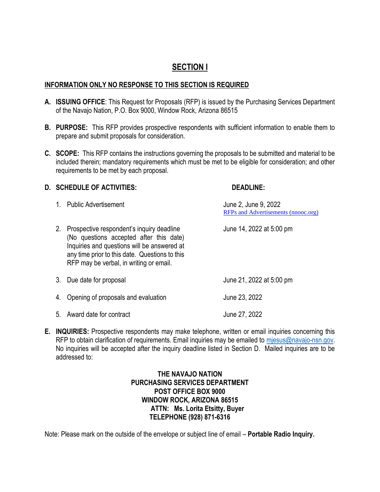### **SECTION I**

#### **INFORMATION ONLY NO RESPONSE TO THIS SECTION IS REQUIRED**

- **A. ISSUING OFFICE**: This Request for Proposals (RFP) is issued by the Purchasing Services Department of the Navajo Nation, P.O. Box 9000, Window Rock, Arizona 86515
- **B. PURPOSE:** This RFP provides prospective respondents with sufficient information to enable them to prepare and submit proposals for consideration.
- **C. SCOPE:** This RFP contains the instructions governing the proposals to be submitted and material to be included therein; mandatory requirements which must be met to be eligible for consideration; and other requirements to be met by each proposal.

#### **D. SCHEDULE OF ACTIVITIES: DEADLINE:**

|    | 1. Public Advertisement                                                                                                                                                                                                          | June 2, June 9, 2022<br>RFPs and Advertisements (nnooc.org) |
|----|----------------------------------------------------------------------------------------------------------------------------------------------------------------------------------------------------------------------------------|-------------------------------------------------------------|
| 2. | Prospective respondent's inquiry deadline<br>(No questions accepted after this date)<br>Inquiries and questions will be answered at<br>any time prior to this date. Questions to this<br>RFP may be verbal, in writing or email. | June 14, 2022 at 5:00 pm                                    |
|    | 3. Due date for proposal                                                                                                                                                                                                         | June 21, 2022 at 5:00 pm                                    |
| 4. | Opening of proposals and evaluation                                                                                                                                                                                              | June 23, 2022                                               |
|    | 5. Award date for contract                                                                                                                                                                                                       | June 27, 2022                                               |

**E. INQUIRIES:** Prospective respondents may make telephone, written or email inquiries concerning this RFP to obtain clarification of requirements. Email inquiries may be emailed to miesus@navajo-nsn.gov. No inquiries will be accepted after the inquiry deadline listed in Section D. Mailed inquiries are to be addressed to:

#### **THE NAVAJO NATION PURCHASING SERVICES DEPARTMENT POST OFFICE BOX 9000 WINDOW ROCK, ARIZONA 86515 ATTN: Ms. Lorita Etsitty, Buyer TELEPHONE (928) 871-6316**

Note: Please mark on the outside of the envelope or subject line of email – **Portable Radio Inquiry.**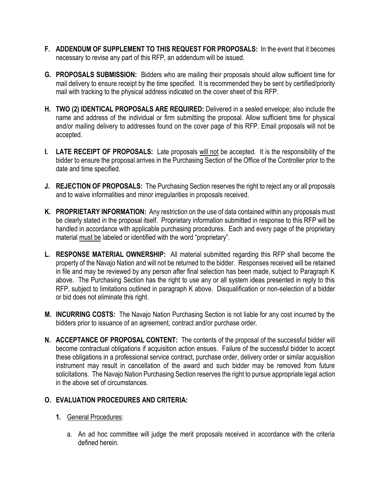- **F. ADDENDUM OF SUPPLEMENT TO THIS REQUEST FOR PROPOSALS:** In the event that it becomes necessary to revise any part of this RFP, an addendum will be issued.
- **G. PROPOSALS SUBMISSION:** Bidders who are mailing their proposals should allow sufficient time for mail delivery to ensure receipt by the time specified. It is recommended they be sent by certified/priority mail with tracking to the physical address indicated on the cover sheet of this RFP.
- **H. TWO (2) IDENTICAL PROPOSALS ARE REQUIRED:** Delivered in a sealed envelope; also include the name and address of the individual or firm submitting the proposal. Allow sufficient time for physical and/or mailing delivery to addresses found on the cover page of this RFP. Email proposals will not be accepted.
- **I. LATE RECEIPT OF PROPOSALS:** Late proposals will not be accepted. It is the responsibility of the bidder to ensure the proposal arrives in the Purchasing Section of the Office of the Controller prior to the date and time specified.
- **J. REJECTION OF PROPOSALS:** The Purchasing Section reserves the right to reject any or all proposals and to waive informalities and minor irregularities in proposals received.
- **K. PROPRIETARY INFORMATION:** Any restriction on the use of data contained within any proposals must be clearly stated in the proposal itself. Proprietary information submitted in response to this RFP will be handled in accordance with applicable purchasing procedures. Each and every page of the proprietary material must be labeled or identified with the word "proprietary".
- **L. RESPONSE MATERIAL OWNERSHIP:** All material submitted regarding this RFP shall become the property of the Navajo Nation and will not be returned to the bidder. Responses received will be retained in file and may be reviewed by any person after final selection has been made, subject to Paragraph K above. The Purchasing Section has the right to use any or all system ideas presented in reply to this RFP, subject to limitations outlined in paragraph K above. Disqualification or non-selection of a bidder or bid does not eliminate this right.
- **M. INCURRING COSTS:** The Navajo Nation Purchasing Section is not liable for any cost incurred by the bidders prior to issuance of an agreement, contract and/or purchase order.
- **N. ACCEPTANCE OF PROPOSAL CONTENT:** The contents of the proposal of the successful bidder will become contractual obligations if acquisition action ensues. Failure of the successful bidder to accept these obligations in a professional service contract, purchase order, delivery order or similar acquisition instrument may result in cancellation of the award and such bidder may be removed from future solicitations. The Navajo Nation Purchasing Section reserves the right to pursue appropriate legal action in the above set of circumstances.

#### **O. EVALUATION PROCEDURES AND CRITERIA:**

- **1.** General Procedures:
	- a. An ad hoc committee will judge the merit proposals received in accordance with the criteria defined herein.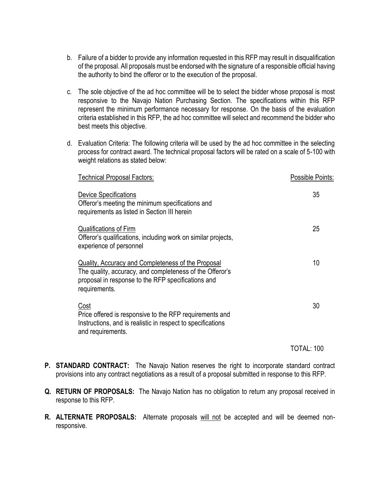- b. Failure of a bidder to provide any information requested in this RFP may result in disqualification of the proposal. All proposals must be endorsed with the signature of a responsible official having the authority to bind the offeror or to the execution of the proposal.
- c. The sole objective of the ad hoc committee will be to select the bidder whose proposal is most responsive to the Navajo Nation Purchasing Section. The specifications within this RFP represent the minimum performance necessary for response. On the basis of the evaluation criteria established in this RFP, the ad hoc committee will select and recommend the bidder who best meets this objective.
- d. Evaluation Criteria: The following criteria will be used by the ad hoc committee in the selecting process for contract award. The technical proposal factors will be rated on a scale of 5-100 with weight relations as stated below:

| Technical Proposal Factors:                                                                                                                                                           | Possible Points: |
|---------------------------------------------------------------------------------------------------------------------------------------------------------------------------------------|------------------|
| <b>Device Specifications</b><br>Offeror's meeting the minimum specifications and<br>requirements as listed in Section III herein                                                      | 35               |
| <b>Qualifications of Firm</b><br>Offeror's qualifications, including work on similar projects,<br>experience of personnel                                                             | 25               |
| Quality, Accuracy and Completeness of the Proposal<br>The quality, accuracy, and completeness of the Offeror's<br>proposal in response to the RFP specifications and<br>requirements. | 10               |
| <b>Cost</b><br>Price offered is responsive to the RFP requirements and<br>Instructions, and is realistic in respect to specifications<br>and requirements.                            | 30               |

TOTAL: 100

- **P. STANDARD CONTRACT:** The Navajo Nation reserves the right to incorporate standard contract provisions into any contract negotiations as a result of a proposal submitted in response to this RFP.
- **Q. RETURN OF PROPOSALS:** The Navajo Nation has no obligation to return any proposal received in response to this RFP.
- **R. ALTERNATE PROPOSALS:** Alternate proposals will not be accepted and will be deemed nonresponsive.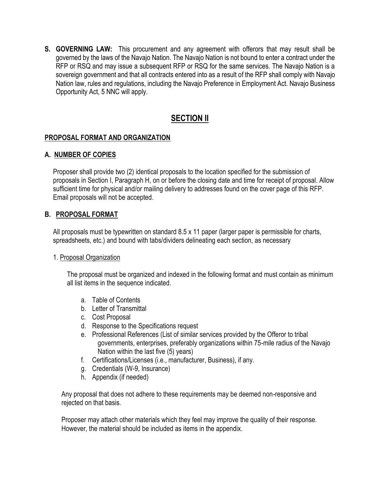**S. GOVERNING LAW:** This procurement and any agreement with offerors that may result shall be governed by the laws of the Navajo Nation. The Navajo Nation is not bound to enter a contract under the RFP or RSQ and may issue a subsequent RFP or RSQ for the same services. The Navajo Nation is a sovereign government and that all contracts entered into as a result of the RFP shall comply with Navajo Nation law, rules and regulations, including the Navajo Preference in Employment Act. Navajo Business Opportunity Act, 5 NNC will apply.

## **SECTION II**

#### **PROPOSAL FORMAT AND ORGANIZATION**

#### **A. NUMBER OF COPIES**

Proposer shall provide two (2) identical proposals to the location specified for the submission of proposals in Section I, Paragraph H, on or before the closing date and time for receipt of proposal. Allow sufficient time for physical and/or mailing delivery to addresses found on the cover page of this RFP. Email proposals will not be accepted.

#### **B. PROPOSAL FORMAT**

All proposals must be typewritten on standard 8.5 x 11 paper (larger paper is permissible for charts, spreadsheets, etc.) and bound with tabs/dividers delineating each section, as necessary

#### 1. Proposal Organization

The proposal must be organized and indexed in the following format and must contain as minimum all list items in the sequence indicated.

- a. Table of Contents
- b. Letter of Transmittal
- c. Cost Proposal
- d. Response to the Specifications request
- e. Professional References (List of similar services provided by the Offeror to tribal governments, enterprises, preferably organizations within 75-mile radius of the Navajo Nation within the last five (5) years)
- f. Certifications/Licenses (i.e., manufacturer, Business), if any.
- g. Credentials (W-9, Insurance)
- h. Appendix (if needed)

Any proposal that does not adhere to these requirements may be deemed non-responsive and rejected on that basis.

Proposer may attach other materials which they feel may improve the quality of their response. However, the material should be included as items in the appendix.